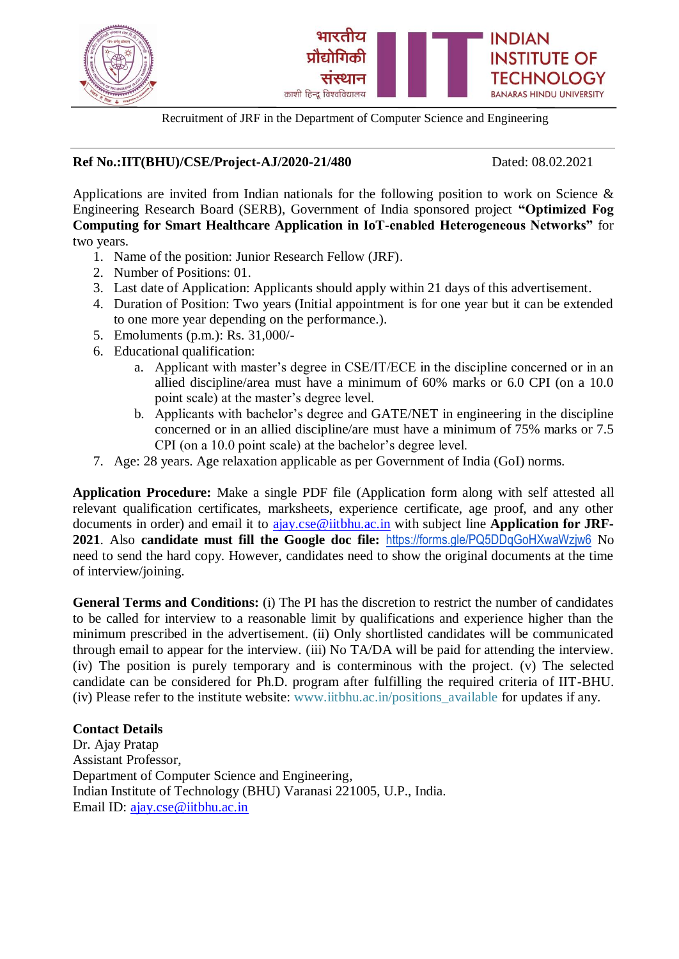

Recruitment of JRF in the Department of Computer Science and Engineering

## **Ref No.:IIT(BHU)/CSE/Project-AJ/2020-21/480** Dated: 08.02.2021

Applications are invited from Indian nationals for the following position to work on Science  $\&$ Engineering Research Board (SERB), Government of India sponsored project **"Optimized Fog Computing for Smart Healthcare Application in IoT-enabled Heterogeneous Networks"** for two years.

- 1. Name of the position: Junior Research Fellow (JRF).
- 2. Number of Positions: 01.
- 3. Last date of Application: Applicants should apply within 21 days of this advertisement.
- 4. Duration of Position: Two years (Initial appointment is for one year but it can be extended to one more year depending on the performance.).
- 5. Emoluments (p.m.): Rs. 31,000/-
- 6. Educational qualification:
	- a. Applicant with master's degree in CSE/IT/ECE in the discipline concerned or in an allied discipline/area must have a minimum of 60% marks or 6.0 CPI (on a 10.0 point scale) at the master's degree level.
	- b. Applicants with bachelor's degree and GATE/NET in engineering in the discipline concerned or in an allied discipline/are must have a minimum of 75% marks or 7.5 CPI (on a 10.0 point scale) at the bachelor's degree level.
- 7. Age: 28 years. Age relaxation applicable as per Government of India (GoI) norms.

**Application Procedure:** Make a single PDF file (Application form along with self attested all relevant qualification certificates, marksheets, experience certificate, age proof, and any other documents in order) and email it to [ajay.cse@iitbhu.ac.in](mailto:ajay.cse@iitbhu.ac.in) with subject line **Application for JRF-2021**. Also **candidate must fill the Google doc file:** <https://forms.gle/PQ5DDqGoHXwaWzjw6> No need to send the hard copy. However, candidates need to show the original documents at the time of interview/joining.

**General Terms and Conditions:** (i) The PI has the discretion to restrict the number of candidates to be called for interview to a reasonable limit by qualifications and experience higher than the minimum prescribed in the advertisement. (ii) Only shortlisted candidates will be communicated through email to appear for the interview. (iii) No TA/DA will be paid for attending the interview. (iv) The position is purely temporary and is conterminous with the project. (v) The selected candidate can be considered for Ph.D. program after fulfilling the required criteria of IIT-BHU. (iv) Please refer to the institute website: www.iitbhu.ac.in/positions\_available for updates if any.

## **Contact Details**

Dr. Ajay Pratap Assistant Professor, Department of Computer Science and Engineering, Indian Institute of Technology (BHU) Varanasi 221005, U.P., India. Email ID: [ajay.cse@iitbhu.ac.in](mailto:ajay.cse@iitbhu.ac.in)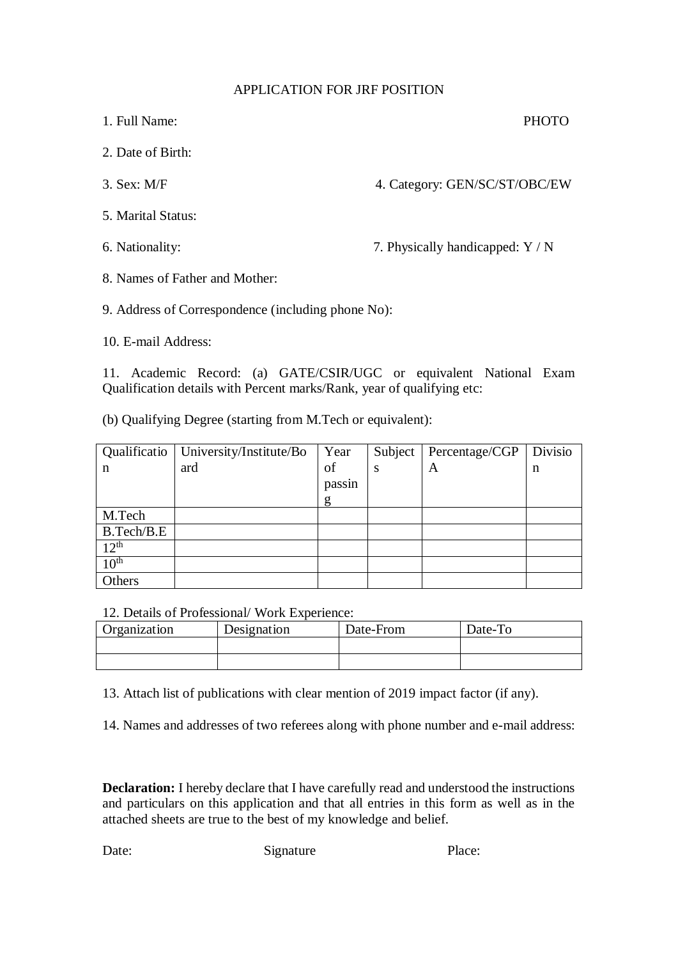## APPLICATION FOR JRF POSITION

| 1. Full Name:                  | <b>PHOTO</b>                     |
|--------------------------------|----------------------------------|
| 2. Date of Birth:              |                                  |
| $3.$ Sex: M/F                  | 4. Category: GEN/SC/ST/OBC/EW    |
| 5. Marital Status:             |                                  |
| 6. Nationality:                | 7. Physically handicapped: Y / N |
| 8. Names of Father and Mother: |                                  |

9. Address of Correspondence (including phone No):

10. E-mail Address:

11. Academic Record: (a) GATE/CSIR/UGC or equivalent National Exam Qualification details with Percent marks/Rank, year of qualifying etc:

(b) Qualifying Degree (starting from M.Tech or equivalent):

|                  | Qualificatio   University/Institute/Bo | Year   | Subject | Percentage/CGP | Divisio |
|------------------|----------------------------------------|--------|---------|----------------|---------|
| n                | ard                                    | of     | S       | A              | n       |
|                  |                                        | passin |         |                |         |
|                  |                                        | g      |         |                |         |
| M.Tech           |                                        |        |         |                |         |
| B.Tech/B.E       |                                        |        |         |                |         |
| $12^{th}$        |                                        |        |         |                |         |
| 10 <sup>th</sup> |                                        |        |         |                |         |
| <b>Others</b>    |                                        |        |         |                |         |

12. Details of Professional/ Work Experience:

| Organization | Designation | Date-From | Date-To |
|--------------|-------------|-----------|---------|
|              |             |           |         |
|              |             |           |         |

13. Attach list of publications with clear mention of 2019 impact factor (if any).

14. Names and addresses of two referees along with phone number and e-mail address:

**Declaration:** I hereby declare that I have carefully read and understood the instructions and particulars on this application and that all entries in this form as well as in the attached sheets are true to the best of my knowledge and belief.

Date: Signature Place: